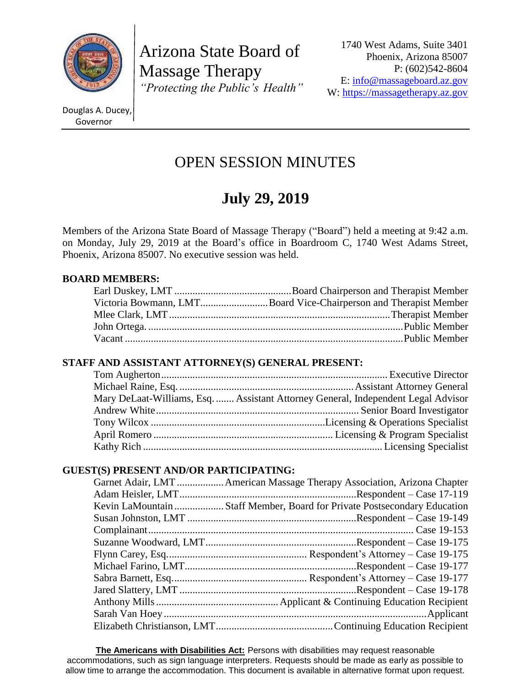

Arizona State Board of Massage Therapy *"Protecting the Public's Health"*

1740 West Adams, Suite 3401 Phoenix, Arizona 85007 P: (602)542-8604 E: [info@massageboard.az.gov](mailto:info@massageboard.az.gov) W: [https://massagetherapy.az.gov](https://massagetherapy.az.gov/)

Douglas A. Ducey, Governor

# OPEN SESSION MINUTES

# **July 29, 2019**

Members of the Arizona State Board of Massage Therapy ("Board") held a meeting at 9:42 a.m. on Monday, July 29, 2019 at the Board's office in Boardroom C, 1740 West Adams Street, Phoenix, Arizona 85007. No executive session was held.

# **BOARD MEMBERS:**

|  | Victoria Bowmann, LMTBoard Vice-Chairperson and Therapist Member |
|--|------------------------------------------------------------------|
|  |                                                                  |
|  |                                                                  |
|  |                                                                  |
|  |                                                                  |

# **STAFF AND ASSISTANT ATTORNEY(S) GENERAL PRESENT:**

| Mary DeLaat-Williams, Esq.  Assistant Attorney General, Independent Legal Advisor |
|-----------------------------------------------------------------------------------|
|                                                                                   |
|                                                                                   |
|                                                                                   |
|                                                                                   |

# **GUEST(S) PRESENT AND/OR PARTICIPATING:**

| Garnet Adair, LMT  American Massage Therapy Association, Arizona Chapter |
|--------------------------------------------------------------------------|
|                                                                          |
| Kevin LaMountain Staff Member, Board for Private Postsecondary Education |
|                                                                          |
|                                                                          |
|                                                                          |
|                                                                          |
|                                                                          |
|                                                                          |
|                                                                          |
|                                                                          |
|                                                                          |
|                                                                          |

**The Americans with Disabilities Act:** Persons with disabilities may request reasonable accommodations, such as sign language interpreters. Requests should be made as early as possible to allow time to arrange the accommodation. This document is available in alternative format upon request.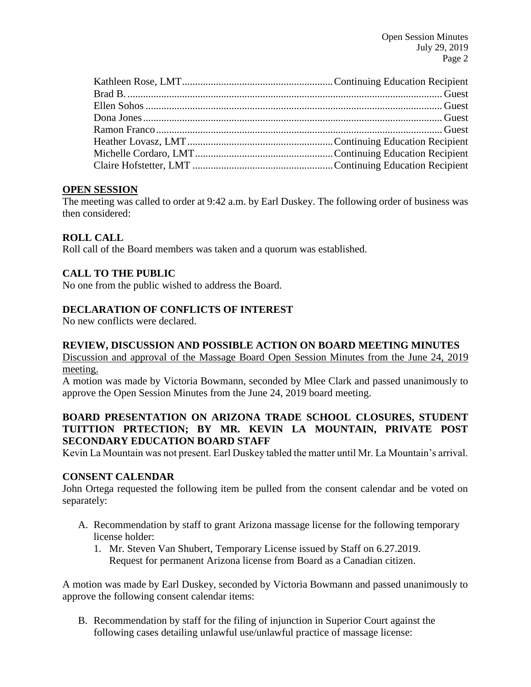Open Session Minutes July 29, 2019 Page 2

## **OPEN SESSION**

The meeting was called to order at 9:42 a.m. by Earl Duskey. The following order of business was then considered:

# **ROLL CALL**

Roll call of the Board members was taken and a quorum was established.

# **CALL TO THE PUBLIC**

No one from the public wished to address the Board.

# **DECLARATION OF CONFLICTS OF INTEREST**

No new conflicts were declared.

## **REVIEW, DISCUSSION AND POSSIBLE ACTION ON BOARD MEETING MINUTES**

Discussion and approval of the Massage Board Open Session Minutes from the June 24, 2019 meeting.

A motion was made by Victoria Bowmann, seconded by Mlee Clark and passed unanimously to approve the Open Session Minutes from the June 24, 2019 board meeting.

## **BOARD PRESENTATION ON ARIZONA TRADE SCHOOL CLOSURES, STUDENT TUITTION PRTECTION; BY MR. KEVIN LA MOUNTAIN, PRIVATE POST SECONDARY EDUCATION BOARD STAFF**

Kevin La Mountain was not present. Earl Duskey tabled the matter until Mr. La Mountain's arrival.

## **CONSENT CALENDAR**

John Ortega requested the following item be pulled from the consent calendar and be voted on separately:

- A. Recommendation by staff to grant Arizona massage license for the following temporary license holder:
	- 1. Mr. Steven Van Shubert, Temporary License issued by Staff on 6.27.2019. Request for permanent Arizona license from Board as a Canadian citizen.

A motion was made by Earl Duskey, seconded by Victoria Bowmann and passed unanimously to approve the following consent calendar items:

B. Recommendation by staff for the filing of injunction in Superior Court against the following cases detailing unlawful use/unlawful practice of massage license: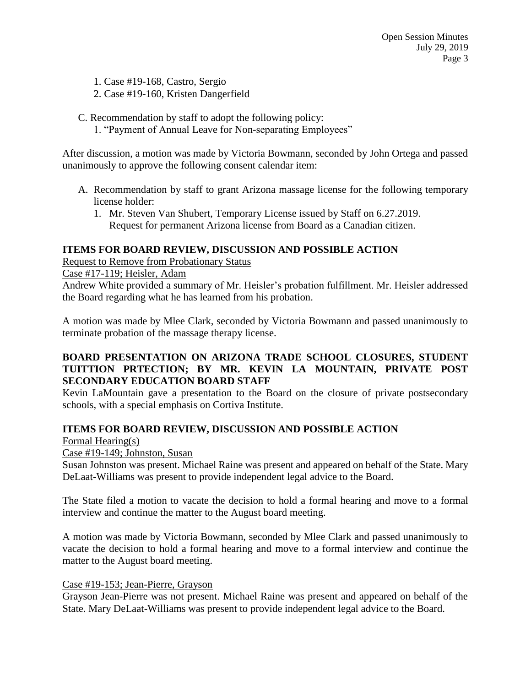1. Case #19-168, Castro, Sergio

- 2. Case #19-160, Kristen Dangerfield
- C. Recommendation by staff to adopt the following policy:
	- 1. "Payment of Annual Leave for Non-separating Employees"

After discussion, a motion was made by Victoria Bowmann, seconded by John Ortega and passed unanimously to approve the following consent calendar item:

- A. Recommendation by staff to grant Arizona massage license for the following temporary license holder:
	- 1. Mr. Steven Van Shubert, Temporary License issued by Staff on 6.27.2019. Request for permanent Arizona license from Board as a Canadian citizen.

# **ITEMS FOR BOARD REVIEW, DISCUSSION AND POSSIBLE ACTION**

Request to Remove from Probationary Status

Case #17-119; Heisler, Adam

Andrew White provided a summary of Mr. Heisler's probation fulfillment. Mr. Heisler addressed the Board regarding what he has learned from his probation.

A motion was made by Mlee Clark, seconded by Victoria Bowmann and passed unanimously to terminate probation of the massage therapy license.

# **BOARD PRESENTATION ON ARIZONA TRADE SCHOOL CLOSURES, STUDENT TUITTION PRTECTION; BY MR. KEVIN LA MOUNTAIN, PRIVATE POST SECONDARY EDUCATION BOARD STAFF**

Kevin LaMountain gave a presentation to the Board on the closure of private postsecondary schools, with a special emphasis on Cortiva Institute.

# **ITEMS FOR BOARD REVIEW, DISCUSSION AND POSSIBLE ACTION**

Formal Hearing(s)

Case #19-149; Johnston, Susan

Susan Johnston was present. Michael Raine was present and appeared on behalf of the State. Mary DeLaat-Williams was present to provide independent legal advice to the Board.

The State filed a motion to vacate the decision to hold a formal hearing and move to a formal interview and continue the matter to the August board meeting.

A motion was made by Victoria Bowmann, seconded by Mlee Clark and passed unanimously to vacate the decision to hold a formal hearing and move to a formal interview and continue the matter to the August board meeting.

# Case #19-153; Jean-Pierre, Grayson

Grayson Jean-Pierre was not present. Michael Raine was present and appeared on behalf of the State. Mary DeLaat-Williams was present to provide independent legal advice to the Board.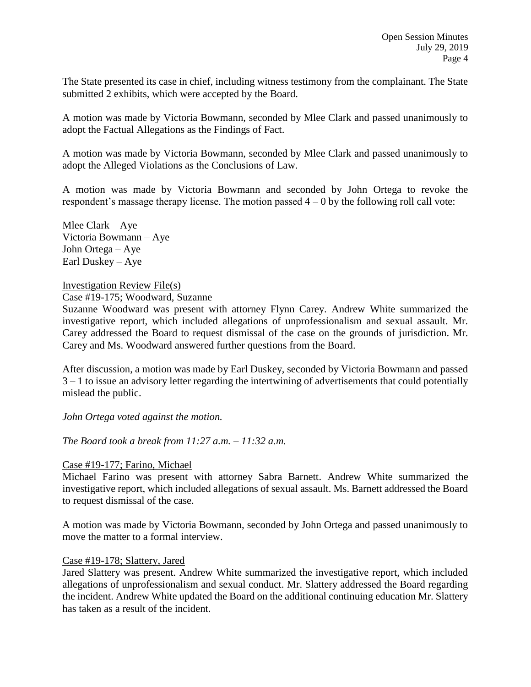The State presented its case in chief, including witness testimony from the complainant. The State submitted 2 exhibits, which were accepted by the Board.

A motion was made by Victoria Bowmann, seconded by Mlee Clark and passed unanimously to adopt the Factual Allegations as the Findings of Fact.

A motion was made by Victoria Bowmann, seconded by Mlee Clark and passed unanimously to adopt the Alleged Violations as the Conclusions of Law.

A motion was made by Victoria Bowmann and seconded by John Ortega to revoke the respondent's massage therapy license. The motion passed  $4 - 0$  by the following roll call vote:

Mlee Clark – Aye Victoria Bowmann – Aye John Ortega – Aye Earl Duskey – Aye

#### Investigation Review File(s) Case #19-175; Woodward, Suzanne

Suzanne Woodward was present with attorney Flynn Carey. Andrew White summarized the investigative report, which included allegations of unprofessionalism and sexual assault. Mr. Carey addressed the Board to request dismissal of the case on the grounds of jurisdiction. Mr. Carey and Ms. Woodward answered further questions from the Board.

After discussion, a motion was made by Earl Duskey, seconded by Victoria Bowmann and passed 3 – 1 to issue an advisory letter regarding the intertwining of advertisements that could potentially mislead the public.

*John Ortega voted against the motion.*

*The Board took a break from 11:27 a.m. – 11:32 a.m.*

# Case #19-177; Farino, Michael

Michael Farino was present with attorney Sabra Barnett. Andrew White summarized the investigative report, which included allegations of sexual assault. Ms. Barnett addressed the Board to request dismissal of the case.

A motion was made by Victoria Bowmann, seconded by John Ortega and passed unanimously to move the matter to a formal interview.

## Case #19-178; Slattery, Jared

Jared Slattery was present. Andrew White summarized the investigative report, which included allegations of unprofessionalism and sexual conduct. Mr. Slattery addressed the Board regarding the incident. Andrew White updated the Board on the additional continuing education Mr. Slattery has taken as a result of the incident.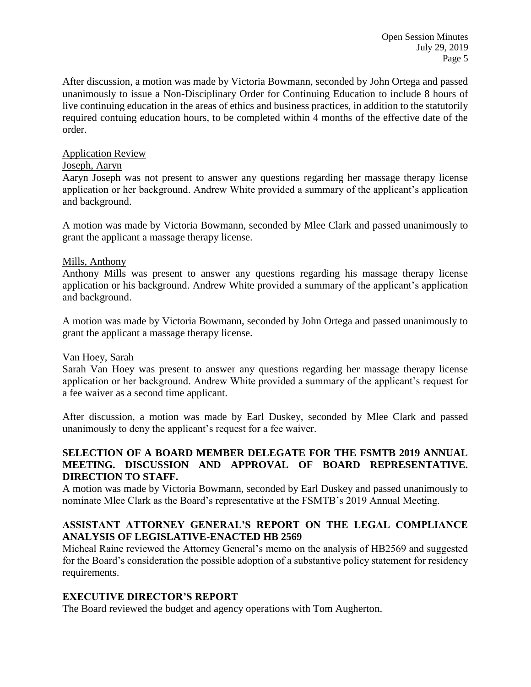After discussion, a motion was made by Victoria Bowmann, seconded by John Ortega and passed unanimously to issue a Non-Disciplinary Order for Continuing Education to include 8 hours of live continuing education in the areas of ethics and business practices, in addition to the statutorily required contuing education hours, to be completed within 4 months of the effective date of the order.

## Application Review

## Joseph, Aaryn

Aaryn Joseph was not present to answer any questions regarding her massage therapy license application or her background. Andrew White provided a summary of the applicant's application and background.

A motion was made by Victoria Bowmann, seconded by Mlee Clark and passed unanimously to grant the applicant a massage therapy license.

## Mills, Anthony

Anthony Mills was present to answer any questions regarding his massage therapy license application or his background. Andrew White provided a summary of the applicant's application and background.

A motion was made by Victoria Bowmann, seconded by John Ortega and passed unanimously to grant the applicant a massage therapy license.

# Van Hoey, Sarah

Sarah Van Hoey was present to answer any questions regarding her massage therapy license application or her background. Andrew White provided a summary of the applicant's request for a fee waiver as a second time applicant.

After discussion, a motion was made by Earl Duskey, seconded by Mlee Clark and passed unanimously to deny the applicant's request for a fee waiver.

## **SELECTION OF A BOARD MEMBER DELEGATE FOR THE FSMTB 2019 ANNUAL MEETING. DISCUSSION AND APPROVAL OF BOARD REPRESENTATIVE. DIRECTION TO STAFF.**

A motion was made by Victoria Bowmann, seconded by Earl Duskey and passed unanimously to nominate Mlee Clark as the Board's representative at the FSMTB's 2019 Annual Meeting.

# **ASSISTANT ATTORNEY GENERAL'S REPORT ON THE LEGAL COMPLIANCE ANALYSIS OF LEGISLATIVE-ENACTED HB 2569**

Micheal Raine reviewed the Attorney General's memo on the analysis of HB2569 and suggested for the Board's consideration the possible adoption of a substantive policy statement for residency requirements.

# **EXECUTIVE DIRECTOR'S REPORT**

The Board reviewed the budget and agency operations with Tom Augherton.